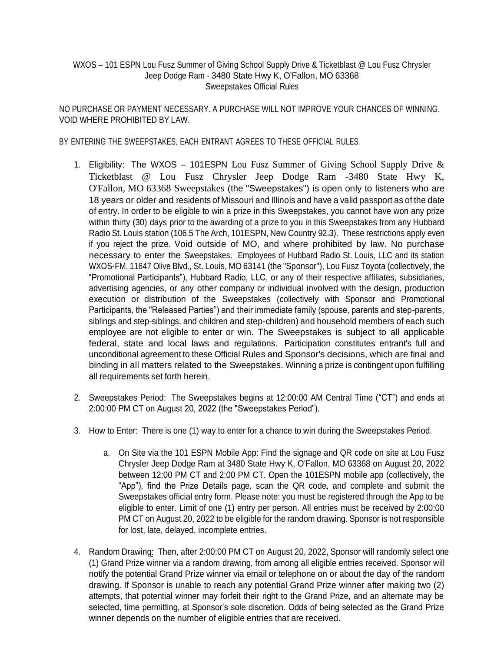## WXOS – 101 ESPN Lou Fusz Summer of Giving School Supply Drive & Ticketblast @ Lou Fusz Chrysler Jeep Dodge Ram - 3480 State Hwy K, O'Fallon, MO 63368 Sweepstakes Official Rules

NO PURCHASE OR PAYMENT NECESSARY. A PURCHASE WILL NOT IMPROVE YOUR CHANCES OF WINNING. VOID WHERE PROHIBITED BY LAW.

BY ENTERING THE SWEEPSTAKES, EACH ENTRANT AGREES TO THESE OFFICIAL RULES.

- 1. Eligibility: The WXOS 101ESPN Lou Fusz Summer of Giving School Supply Drive  $\&$ Ticketblast @ Lou Fusz Chrysler Jeep Dodge Ram -3480 State Hwy K, O'Fallon, MO 63368 Sweepstakes (the "Sweepstakes") is open only to listeners who are 18 years or older and residents of Missouri and Illinois and have a valid passport as of the date of entry. In order to be eligible to win a prize in this Sweepstakes, you cannot have won any prize within thirty (30) days prior to the awarding of a prize to you in this Sweepstakes from any Hubbard Radio St. Louis station (106.5 The Arch, 101ESPN, New Country 92.3). These restrictions apply even if you reject the prize. Void outside of MO, and where prohibited by law. No purchase necessary to enter the Sweepstakes. Employees of Hubbard Radio St. Louis, LLC and its station WXOS-FM, 11647 Olive Blvd., St. Louis, MO 63141 (the "Sponsor"), Lou Fusz Toyota (collectively, the "Promotional Participants"), Hubbard Radio, LLC, or any of their respective affiliates, subsidiaries, advertising agencies, or any other company or individual involved with the design, production execution or distribution of the Sweepstakes (collectively with Sponsor and Promotional Participants, the "Released Parties") and their immediate family (spouse, parents and step-parents, siblings and step-siblings, and children and step-children) and household members of each such employee are not eligible to enter or win. The Sweepstakes is subject to all applicable federal, state and local laws and regulations. Participation constitutes entrant's full and unconditional agreement to these Official Rules and Sponsor's decisions, which are final and binding in all matters related to the Sweepstakes. Winning a prize is contingent upon fulfilling all requirements set forth herein.
- 2. Sweepstakes Period: The Sweepstakes begins at 12:00:00 AM Central Time ("CT") and ends at 2:00:00 PM CT on August 20, 2022 (the "Sweepstakes Period").
- 3. How to Enter: There is one (1) way to enter for a chance to win during the Sweepstakes Period.
	- a. On Site via the 101 ESPN Mobile App: Find the signage and QR code on site at Lou Fusz Chrysler Jeep Dodge Ram at 3480 State Hwy K, O'Fallon, MO 63368 on August 20, 2022 between 12:00 PM CT and 2:00 PM CT. Open the 101ESPN mobile app (collectively, the "App"), find the Prize Details page, scan the QR code, and complete and submit the Sweepstakes official entry form. Please note: you must be registered through the App to be eligible to enter. Limit of one (1) entry per person. All entries must be received by 2:00:00 PM CT on August 20, 2022 to be eligible for the random drawing. Sponsor is not responsible for lost, late, delayed, incomplete entries.
- 4. Random Drawing: Then, after 2:00:00 PM CT on August 20, 2022, Sponsor will randomly select one (1) Grand Prize winner via a random drawing, from among all eligible entries received. Sponsor will notify the potential Grand Prize winner via email or telephone on or about the day of the random drawing. If Sponsor is unable to reach any potential Grand Prize winner after making two (2) attempts, that potential winner may forfeit their right to the Grand Prize, and an alternate may be selected, time permitting, at Sponsor's sole discretion. Odds of being selected as the Grand Prize winner depends on the number of eligible entries that are received.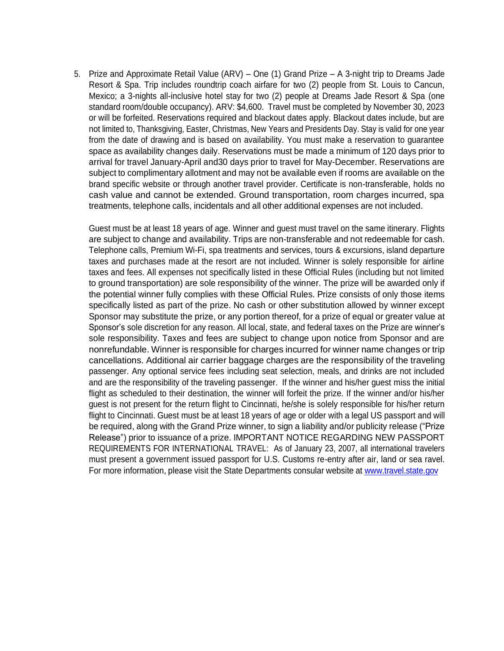5. Prize and Approximate Retail Value (ARV) – One (1) Grand Prize – A 3-night trip to Dreams Jade Resort & Spa. Trip includes roundtrip coach airfare for two (2) people from St. Louis to Cancun, Mexico; a 3-nights all-inclusive hotel stay for two (2) people at Dreams Jade Resort & Spa (one standard room/double occupancy). ARV: \$4,600. Travel must be completed by November 30, 2023 or will be forfeited. Reservations required and blackout dates apply. Blackout dates include, but are not limited to, Thanksgiving, Easter, Christmas, New Years and Presidents Day. Stay is valid for one year from the date of drawing and is based on availability. You must make a reservation to guarantee space as availability changes daily. Reservations must be made a minimum of 120 days prior to arrival for travel January-April and30 days prior to travel for May-December. Reservations are subject to complimentary allotment and may not be available even if rooms are available on the brand specific website or through another travel provider. Certificate is non-transferable, holds no cash value and cannot be extended. Ground transportation, room charges incurred, spa treatments, telephone calls, incidentals and all other additional expenses are not included.

Guest must be at least 18 years of age. Winner and guest must travel on the same itinerary. Flights are subject to change and availability. Trips are non-transferable and not redeemable for cash. Telephone calls, Premium Wi-Fi, spa treatments and services, tours & excursions, island departure taxes and purchases made at the resort are not included. Winner is solely responsible for airline taxes and fees. All expenses not specifically listed in these Official Rules (including but not limited to ground transportation) are sole responsibility of the winner. The prize will be awarded only if the potential winner fully complies with these Official Rules. Prize consists of only those items specifically listed as part of the prize. No cash or other substitution allowed by winner except Sponsor may substitute the prize, or any portion thereof, for a prize of equal or greater value at Sponsor's sole discretion for any reason. All local, state, and federal taxes on the Prize are winner's sole responsibility. Taxes and fees are subject to change upon notice from Sponsor and are nonrefundable. Winner is responsible for charges incurred for winner name changes or trip cancellations. Additional air carrier baggage charges are the responsibility of the traveling passenger. Any optional service fees including seat selection, meals, and drinks are not included and are the responsibility of the traveling passenger. If the winner and his/her guest miss the initial flight as scheduled to their destination, the winner will forfeit the prize. If the winner and/or his/her guest is not present for the return flight to Cincinnati, he/she is solely responsible for his/her return flight to Cincinnati. Guest must be at least 18 years of age or older with a legal US passport and will be required, along with the Grand Prize winner, to sign a liability and/or publicity release ("Prize Release") prior to issuance of a prize. IMPORTANT NOTICE REGARDING NEW PASSPORT REQUIREMENTS FOR INTERNATIONAL TRAVEL: As of January 23, 2007, all international travelers must present a government issued passport for U.S. Customs re-entry after air, land or sea ravel. For more information, please visit the State Departments consular website at [www.travel.state.gov](http://www.travel.state.gov/)